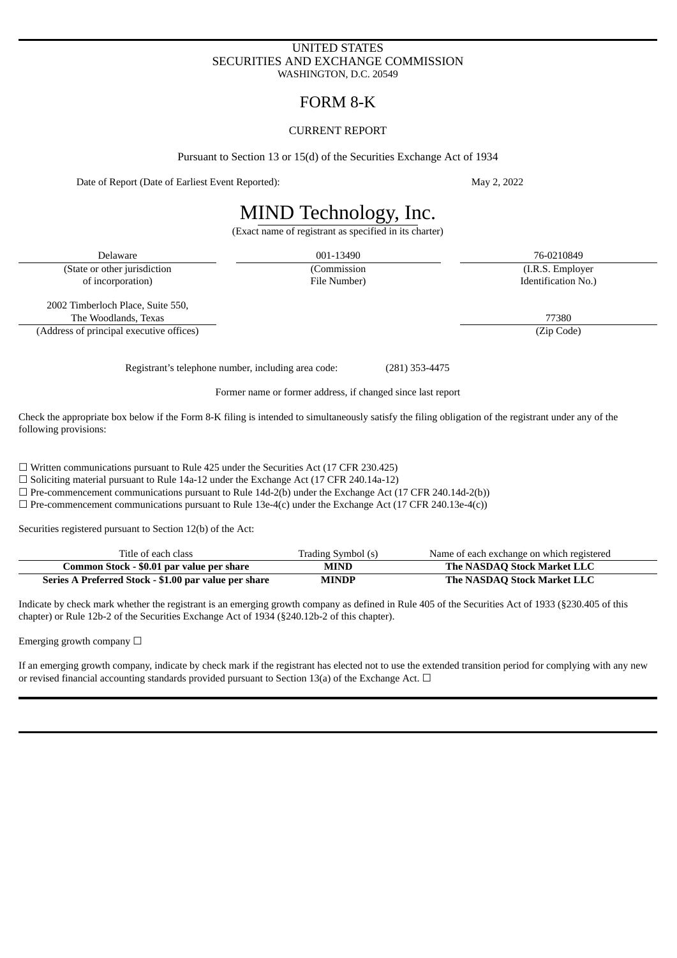#### UNITED STATES SECURITIES AND EXCHANGE COMMISSION WASHINGTON, D.C. 20549

### FORM 8-K

#### CURRENT REPORT

Pursuant to Section 13 or 15(d) of the Securities Exchange Act of 1934

Date of Report (Date of Earliest Event Reported): May 2, 2022

## MIND Technology, Inc.

(Exact name of registrant as specified in its charter)

Delaware 001-13490 76-0210849 (State or other jurisdiction (Commission (I.R.S. Employer of incorporation) File Number) Identification No.)

2002 Timberloch Place, Suite 550, The Woodlands, Texas 77380

(Address of principal executive offices) (Zip Code)

Registrant's telephone number, including area code: (281) 353-4475

#### Former name or former address, if changed since last report

Check the appropriate box below if the Form 8-K filing is intended to simultaneously satisfy the filing obligation of the registrant under any of the following provisions:

☐ Written communications pursuant to Rule 425 under the Securities Act (17 CFR 230.425)

☐ Soliciting material pursuant to Rule 14a-12 under the Exchange Act (17 CFR 240.14a-12)

 $\Box$  Pre-commencement communications pursuant to Rule 14d-2(b) under the Exchange Act (17 CFR 240.14d-2(b))

 $\Box$  Pre-commencement communications pursuant to Rule 13e-4(c) under the Exchange Act (17 CFR 240.13e-4(c))

Securities registered pursuant to Section 12(b) of the Act:

| Title of each class                                   | Trading Symbol (s) | Name of each exchange on which registered |
|-------------------------------------------------------|--------------------|-------------------------------------------|
| Common Stock - \$0.01 par value per share             | <b>MIND</b>        | The NASDAQ Stock Market LLC               |
| Series A Preferred Stock - \$1.00 par value per share | <b>MINDP</b>       | The NASDAQ Stock Market LLC               |

Indicate by check mark whether the registrant is an emerging growth company as defined in Rule 405 of the Securities Act of 1933 (§230.405 of this chapter) or Rule 12b-2 of the Securities Exchange Act of 1934 (§240.12b-2 of this chapter).

Emerging growth company  $\Box$ 

If an emerging growth company, indicate by check mark if the registrant has elected not to use the extended transition period for complying with any new or revised financial accounting standards provided pursuant to Section 13(a) of the Exchange Act.  $\Box$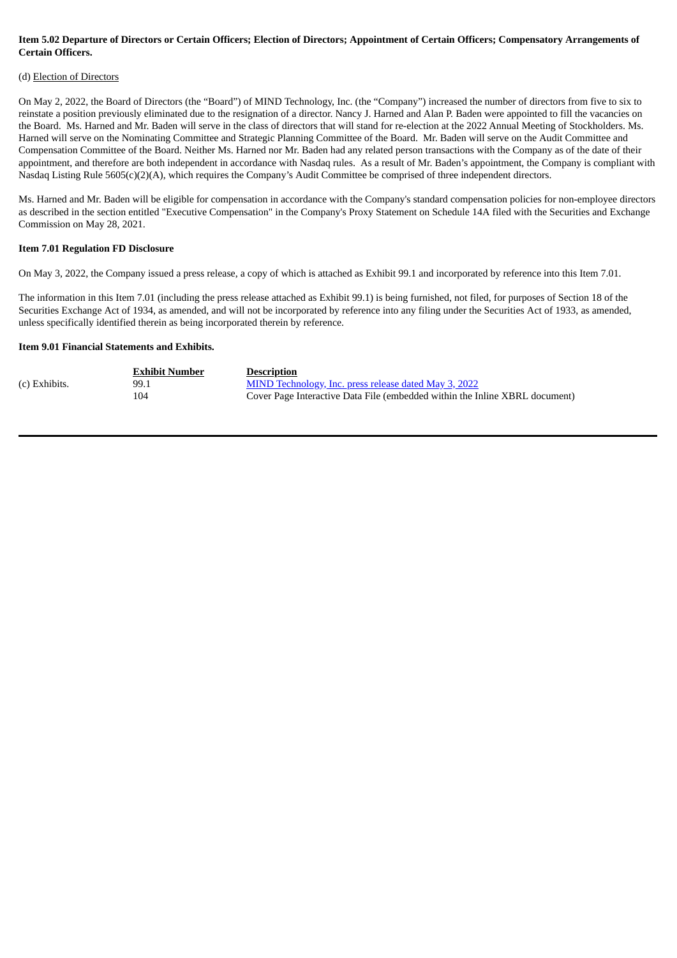#### Item 5.02 Departure of Directors or Certain Officers; Election of Directors; Appointment of Certain Officers; Compensatory Arrangements of **Certain Officers.**

#### (d) Election of Directors

On May 2, 2022, the Board of Directors (the "Board") of MIND Technology, Inc. (the "Company") increased the number of directors from five to six to reinstate a position previously eliminated due to the resignation of a director. Nancy J. Harned and Alan P. Baden were appointed to fill the vacancies on the Board. Ms. Harned and Mr. Baden will serve in the class of directors that will stand for re-election at the 2022 Annual Meeting of Stockholders. Ms. Harned will serve on the Nominating Committee and Strategic Planning Committee of the Board. Mr. Baden will serve on the Audit Committee and Compensation Committee of the Board. Neither Ms. Harned nor Mr. Baden had any related person transactions with the Company as of the date of their appointment, and therefore are both independent in accordance with Nasdaq rules. As a result of Mr. Baden's appointment, the Company is compliant with Nasdaq Listing Rule 5605(c)(2)(A), which requires the Company's Audit Committee be comprised of three independent directors.

Ms. Harned and Mr. Baden will be eligible for compensation in accordance with the Company's standard compensation policies for non-employee directors as described in the section entitled "Executive Compensation" in the Company's Proxy Statement on Schedule 14A filed with the Securities and Exchange Commission on May 28, 2021.

#### **Item 7.01 Regulation FD Disclosure**

On May 3, 2022, the Company issued a press release, a copy of which is attached as Exhibit 99.1 and incorporated by reference into this Item 7.01.

The information in this Item 7.01 (including the press release attached as Exhibit 99.1) is being furnished, not filed, for purposes of Section 18 of the Securities Exchange Act of 1934, as amended, and will not be incorporated by reference into any filing under the Securities Act of 1933, as amended, unless specifically identified therein as being incorporated therein by reference.

#### **Item 9.01 Financial Statements and Exhibits.**

|               | <b>Exhibit Number</b> | <b>Description</b>                                                          |
|---------------|-----------------------|-----------------------------------------------------------------------------|
| (c) Exhibits. | 99.1                  | <b>MIND Technology, Inc. press release dated May 3, 2022</b>                |
|               | 104                   | Cover Page Interactive Data File (embedded within the Inline XBRL document) |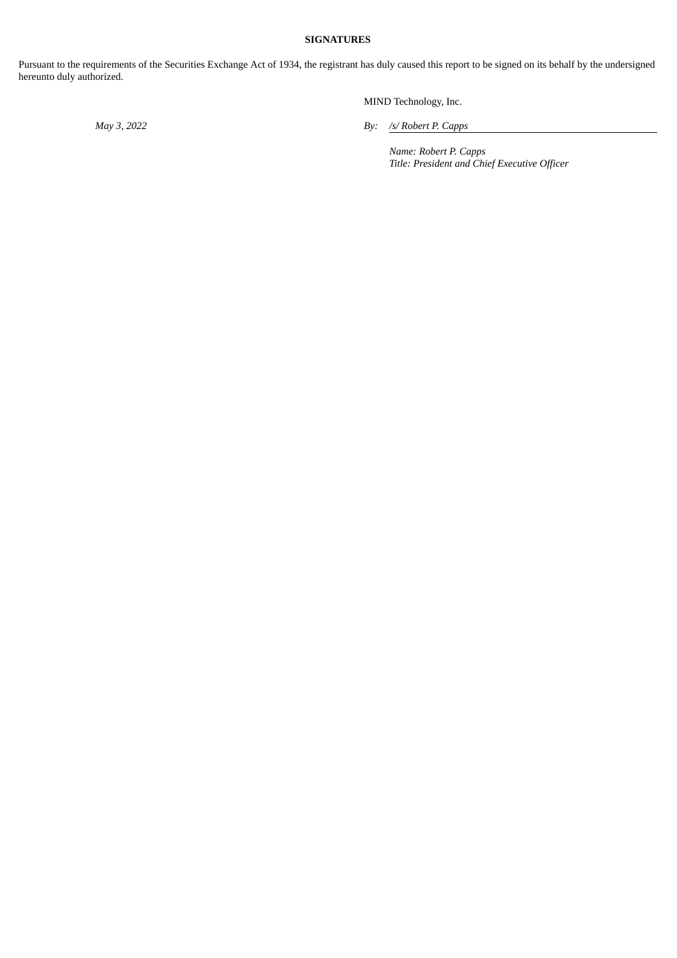#### **SIGNATURES**

Pursuant to the requirements of the Securities Exchange Act of 1934, the registrant has duly caused this report to be signed on its behalf by the undersigned hereunto duly authorized.

MIND Technology, Inc.

*May 3, 2022 By: /s/ Robert P. Capps*

*Name: Robert P. Capps Title: President and Chief Executive Officer*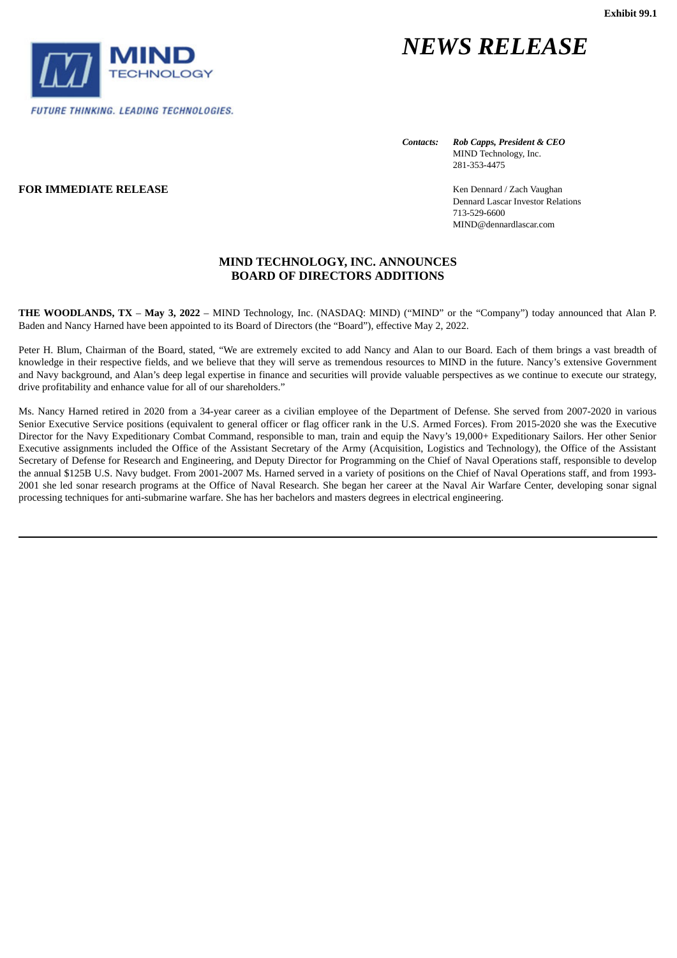<span id="page-3-0"></span>

# *NEWS RELEASE*

*Contacts: Rob Capps, President & CEO*

MIND Technology, Inc. 281-353-4475

**FOR IMMEDIATE RELEASE Kender Construction Construction Kender Construction Kender Construction Kender Construction Kender Construction** Dennard Lascar Investor Relations 713-529-6600 MIND@dennardlascar.com

#### **MIND TECHNOLOGY, INC. ANNOUNCES BOARD OF DIRECTORS ADDITIONS**

**THE WOODLANDS, TX** – **May 3, 2022** – MIND Technology, Inc. (NASDAQ: MIND) ("MIND" or the "Company") today announced that Alan P. Baden and Nancy Harned have been appointed to its Board of Directors (the "Board"), effective May 2, 2022.

Peter H. Blum, Chairman of the Board, stated, "We are extremely excited to add Nancy and Alan to our Board. Each of them brings a vast breadth of knowledge in their respective fields, and we believe that they will serve as tremendous resources to MIND in the future. Nancy's extensive Government and Navy background, and Alan's deep legal expertise in finance and securities will provide valuable perspectives as we continue to execute our strategy, drive profitability and enhance value for all of our shareholders."

Ms. Nancy Harned retired in 2020 from a 34-year career as a civilian employee of the Department of Defense. She served from 2007-2020 in various Senior Executive Service positions (equivalent to general officer or flag officer rank in the U.S. Armed Forces). From 2015-2020 she was the Executive Director for the Navy Expeditionary Combat Command, responsible to man, train and equip the Navy's 19,000+ Expeditionary Sailors. Her other Senior Executive assignments included the Office of the Assistant Secretary of the Army (Acquisition, Logistics and Technology), the Office of the Assistant Secretary of Defense for Research and Engineering, and Deputy Director for Programming on the Chief of Naval Operations staff, responsible to develop the annual \$125B U.S. Navy budget. From 2001-2007 Ms. Harned served in a variety of positions on the Chief of Naval Operations staff, and from 1993- 2001 she led sonar research programs at the Office of Naval Research. She began her career at the Naval Air Warfare Center, developing sonar signal processing techniques for anti-submarine warfare. She has her bachelors and masters degrees in electrical engineering.